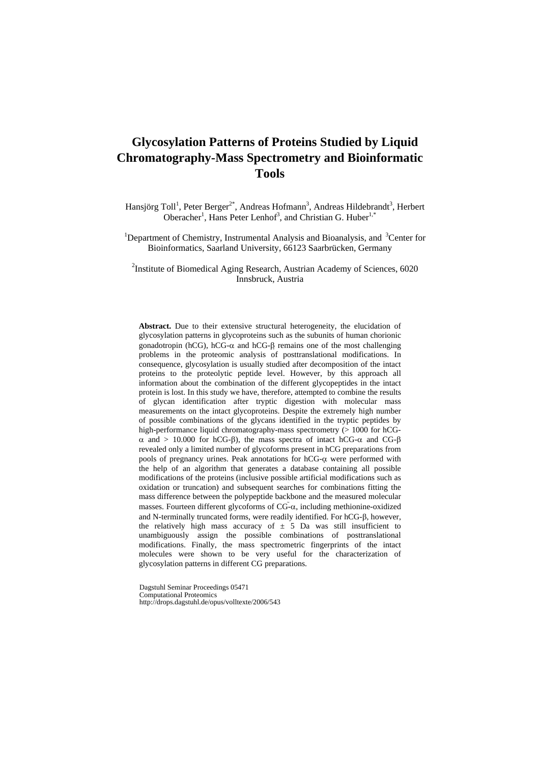# **Glycosylation Patterns of Proteins Studied by Liquid Chromatography-Mass Spectrometry and Bioinformatic Tools**

Hansjörg Toll<sup>1</sup>, Peter Berger<sup>2\*</sup>, Andreas Hofmann<sup>3</sup>, Andreas Hildebrandt<sup>3</sup>, Herbert Oberacher<sup>1</sup>, Hans Peter Lenhof<sup>3</sup>, and Christian G. Huber<sup>1,\*</sup>

<sup>1</sup>Department of Chemistry, Instrumental Analysis and Bioanalysis, and <sup>3</sup>Center for Bioinformatics, Saarland University, 66123 Saarbrücken, Germany

<sup>2</sup>Institute of Biomedical Aging Research, Austrian Academy of Sciences, 6020 Innsbruck, Austria

**Abstract.** Due to their extensive structural heterogeneity, the elucidation of glycosylation patterns in glycoproteins such as the subunits of human chorionic gonadotropin (hCG), hCG-α and hCG-β remains one of the most challenging problems in the proteomic analysis of posttranslational modifications. In consequence, glycosylation is usually studied after decomposition of the intact proteins to the proteolytic peptide level. However, by this approach all information about the combination of the different glycopeptides in the intact protein is lost. In this study we have, therefore, attempted to combine the results of glycan identification after tryptic digestion with molecular mass measurements on the intact glycoproteins. Despite the extremely high number of possible combinations of the glycans identified in the tryptic peptides by high-performance liquid chromatography-mass spectrometry (> 1000 for hCGα and > 10.000 for hCG-β), the mass spectra of intact hCG-α and CG-β revealed only a limited number of glycoforms present in hCG preparations from pools of pregnancy urines. Peak annotations for hCG-α were performed with the help of an algorithm that generates a database containing all possible modifications of the proteins (inclusive possible artificial modifications such as oxidation or truncation) and subsequent searches for combinations fitting the mass difference between the polypeptide backbone and the measured molecular masses. Fourteen different glycoforms of  $CG-\alpha$ , including methionine-oxidized and N-terminally truncated forms, were readily identified. For hCG-β, however, the relatively high mass accuracy of  $\pm$  5 Da was still insufficient to unambiguously assign the possible combinations of posttranslational modifications. Finally, the mass spectrometric fingerprints of the intact molecules were shown to be very useful for the characterization of glycosylation patterns in different CG preparations.

Dagstuhl Seminar Proceedings 05471 Computational Proteomics http://drops.dagstuhl.de/opus/volltexte/2006/543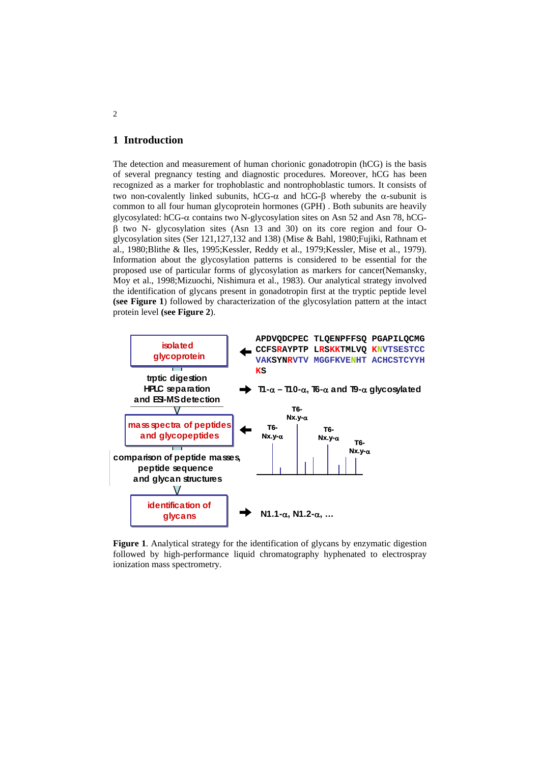# **1 Introduction**

The detection and measurement of human chorionic gonadotropin (hCG) is the basis of several pregnancy testing and diagnostic procedures. Moreover, hCG has been recognized as a marker for trophoblastic and nontrophoblastic tumors. It consists of two non-covalently linked subunits, hCG-α and hCG-β whereby the α-subunit is common to all four human glycoprotein hormones (GPH) . Both subunits are heavily glycosylated: hCG-α contains two N-glycosylation sites on Asn 52 and Asn 78, hCGβ two N- glycosylation sites (Asn 13 and 30) on its core region and four Oglycosylation sites (Ser 121,127,132 and 138) (Mise & Bahl, 1980;Fujiki, Rathnam et al., 1980;Blithe & Iles, 1995;Kessler, Reddy et al., 1979;Kessler, Mise et al., 1979). Information about the glycosylation patterns is considered to be essential for the proposed use of particular forms of glycosylation as markers for cancer(Nemansky, Moy et al., 1998;Mizuochi, Nishimura et al., 1983). Our analytical strategy involved the identification of glycans present in gonadotropin first at the tryptic peptide level **(see Figure 1**) followed by characterization of the glycosylation pattern at the intact protein level **(see Figure 2**).



**Figure 1.** Analytical strategy for the identification of glycans by enzymatic digestion followed by high-performance liquid chromatography hyphenated to electrospray ionization mass spectrometry.

2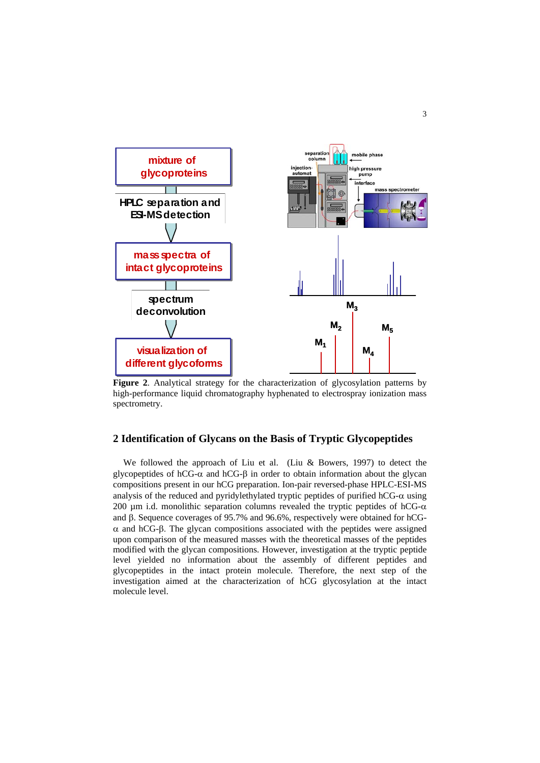

**Figure 2**. Analytical strategy for the characterization of glycosylation patterns by high-performance liquid chromatography hyphenated to electrospray ionization mass spectrometry.

### **2 Identification of Glycans on the Basis of Tryptic Glycopeptides**

We followed the approach of Liu et al. (Liu & Bowers, 1997) to detect the glycopeptides of hCG-α and hCG-β in order to obtain information about the glycan compositions present in our hCG preparation. Ion-pair reversed-phase HPLC-ESI-MS analysis of the reduced and pyridylethylated tryptic peptides of purified  $hCG-\alpha$  using 200 μm i.d. monolithic separation columns revealed the tryptic peptides of hCG- $α$ and β. Sequence coverages of 95.7% and 96.6%, respectively were obtained for hCGα and hCG-β. The glycan compositions associated with the peptides were assigned upon comparison of the measured masses with the theoretical masses of the peptides modified with the glycan compositions. However, investigation at the tryptic peptide level yielded no information about the assembly of different peptides and glycopeptides in the intact protein molecule. Therefore, the next step of the investigation aimed at the characterization of hCG glycosylation at the intact molecule level.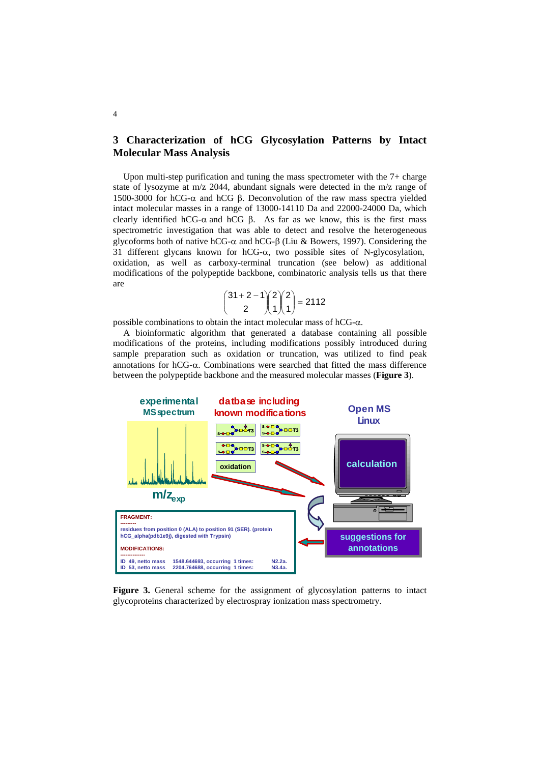# **3 Characterization of hCG Glycosylation Patterns by Intact Molecular Mass Analysis**

Upon multi-step purification and tuning the mass spectrometer with the 7+ charge state of lysozyme at m/z 2044, abundant signals were detected in the m/z range of 1500-3000 for hCG-α and hCG β. Deconvolution of the raw mass spectra yielded intact molecular masses in a range of 13000-14110 Da and 22000-24000 Da, which clearly identified hCG- $\alpha$  and hCG  $\beta$ . As far as we know, this is the first mass spectrometric investigation that was able to detect and resolve the heterogeneous glycoforms both of native hCG-α and hCG-β (Liu & Bowers, 1997). Considering the 31 different glycans known for hCG-α, two possible sites of N-glycosylation, oxidation, as well as carboxy-terminal truncation (see below) as additional modifications of the polypeptide backbone, combinatoric analysis tells us that there are

$$
\begin{pmatrix} 31+2-1 \\ 2 \end{pmatrix} \begin{pmatrix} 2 \\ 1 \end{pmatrix} \begin{pmatrix} 2 \\ 1 \end{pmatrix} = 2112
$$

possible combinations to obtain the intact molecular mass of hCG-α.

A bioinformatic algorithm that generated a database containing all possible modifications of the proteins, including modifications possibly introduced during sample preparation such as oxidation or truncation, was utilized to find peak annotations for hCG-α. Combinations were searched that fitted the mass difference between the polypeptide backbone and the measured molecular masses (**Figure 3**).



**Figure 3.** General scheme for the assignment of glycosylation patterns to intact glycoproteins characterized by electrospray ionization mass spectrometry.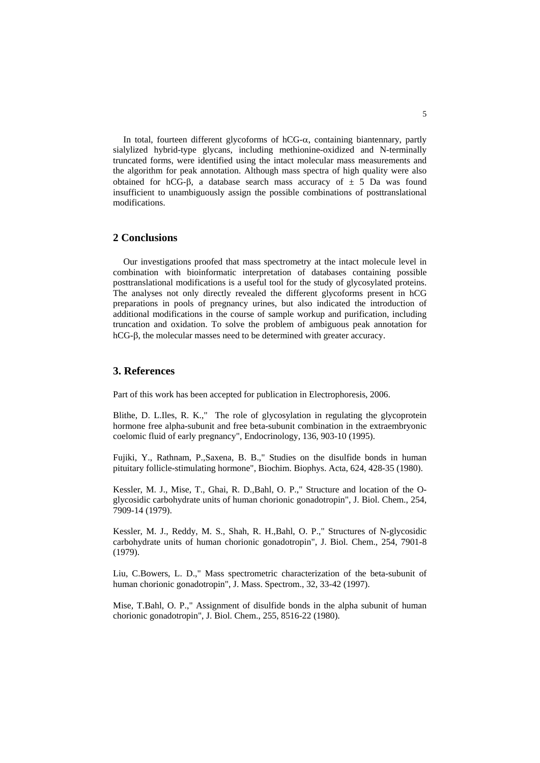In total, fourteen different glycoforms of  $hCG-\alpha$ , containing biantennary, partly sialylized hybrid-type glycans, including methionine-oxidized and N-terminally truncated forms, were identified using the intact molecular mass measurements and the algorithm for peak annotation. Although mass spectra of high quality were also obtained for hCG-β, a database search mass accuracy of  $\pm$  5 Da was found insufficient to unambiguously assign the possible combinations of posttranslational modifications.

#### **2 Conclusions**

Our investigations proofed that mass spectrometry at the intact molecule level in combination with bioinformatic interpretation of databases containing possible posttranslational modifications is a useful tool for the study of glycosylated proteins. The analyses not only directly revealed the different glycoforms present in hCG preparations in pools of pregnancy urines, but also indicated the introduction of additional modifications in the course of sample workup and purification, including truncation and oxidation. To solve the problem of ambiguous peak annotation for hCG-β, the molecular masses need to be determined with greater accuracy.

### **3. References**

Part of this work has been accepted for publication in Electrophoresis, 2006.

Blithe, D. L.Iles, R. K.," The role of glycosylation in regulating the glycoprotein hormone free alpha-subunit and free beta-subunit combination in the extraembryonic coelomic fluid of early pregnancy", Endocrinology, 136, 903-10 (1995).

Fujiki, Y., Rathnam, P.,Saxena, B. B.," Studies on the disulfide bonds in human pituitary follicle-stimulating hormone", Biochim. Biophys. Acta, 624, 428-35 (1980).

Kessler, M. J., Mise, T., Ghai, R. D.,Bahl, O. P.," Structure and location of the Oglycosidic carbohydrate units of human chorionic gonadotropin", J. Biol. Chem., 254, 7909-14 (1979).

Kessler, M. J., Reddy, M. S., Shah, R. H.,Bahl, O. P.," Structures of N-glycosidic carbohydrate units of human chorionic gonadotropin", J. Biol. Chem., 254, 7901-8 (1979).

Liu, C.Bowers, L. D.," Mass spectrometric characterization of the beta-subunit of human chorionic gonadotropin", J. Mass. Spectrom., 32, 33-42 (1997).

Mise, T.Bahl, O. P.," Assignment of disulfide bonds in the alpha subunit of human chorionic gonadotropin", J. Biol. Chem., 255, 8516-22 (1980).